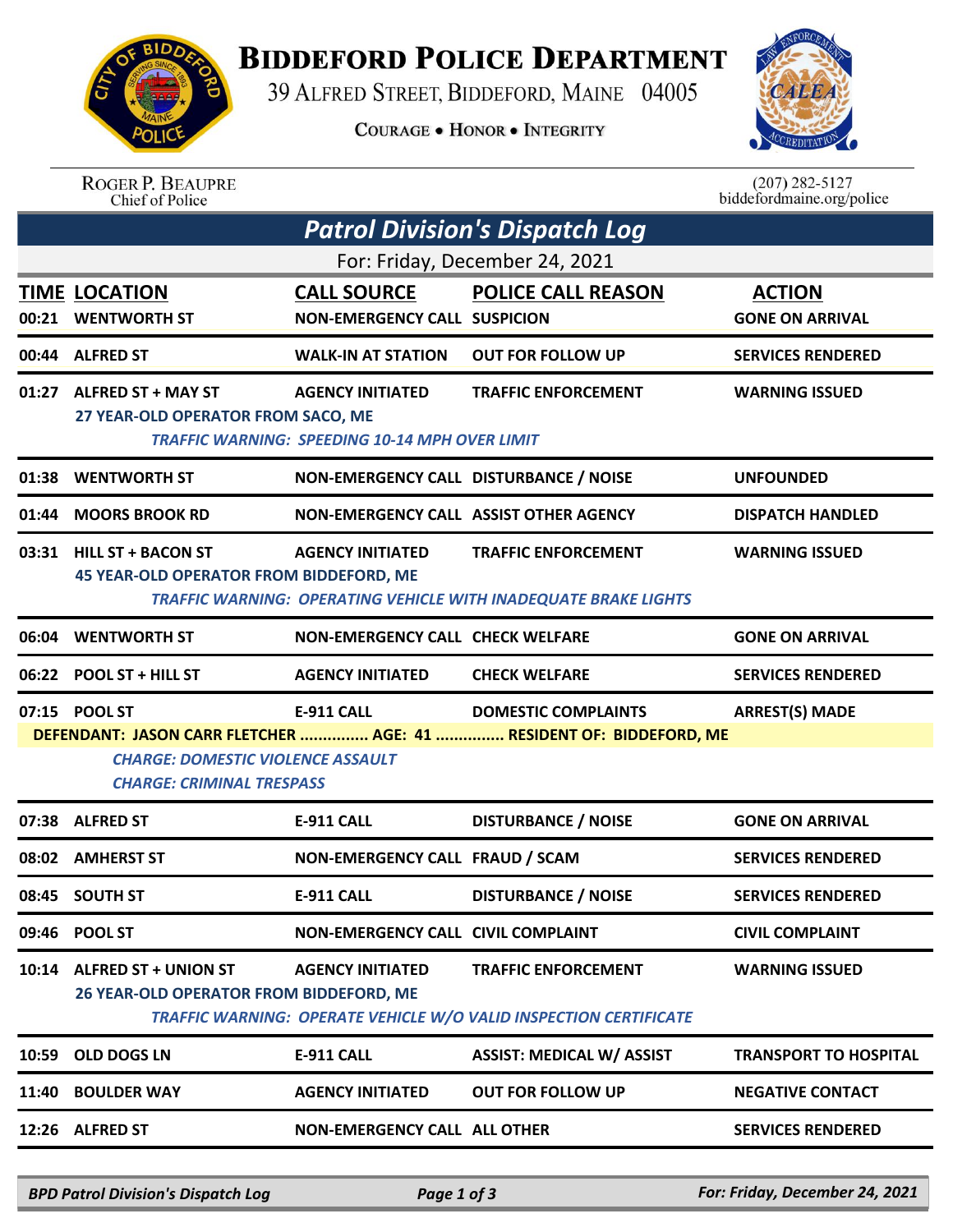

## **BIDDEFORD POLICE DEPARTMENT**

39 ALFRED STREET, BIDDEFORD, MAINE 04005

**COURAGE . HONOR . INTEGRITY** 



| <b>ROGER P. BEAUPRE</b> |
|-------------------------|
| Chief of Police         |

 $(207)$  282-5127 biddefordmaine.org/police

| <b>Patrol Division's Dispatch Log</b>                                                                                                               |                                                                            |                                                                                  |                                                                                                      |                                         |  |  |  |
|-----------------------------------------------------------------------------------------------------------------------------------------------------|----------------------------------------------------------------------------|----------------------------------------------------------------------------------|------------------------------------------------------------------------------------------------------|-----------------------------------------|--|--|--|
| For: Friday, December 24, 2021                                                                                                                      |                                                                            |                                                                                  |                                                                                                      |                                         |  |  |  |
|                                                                                                                                                     | <b>TIME LOCATION</b><br>00:21 WENTWORTH ST                                 | <b>CALL SOURCE</b><br><b>NON-EMERGENCY CALL SUSPICION</b>                        | <b>POLICE CALL REASON</b>                                                                            | <b>ACTION</b><br><b>GONE ON ARRIVAL</b> |  |  |  |
|                                                                                                                                                     | 00:44 ALFRED ST                                                            | <b>WALK-IN AT STATION</b>                                                        | <b>OUT FOR FOLLOW UP</b>                                                                             | <b>SERVICES RENDERED</b>                |  |  |  |
|                                                                                                                                                     | 01:27 ALFRED ST + MAY ST<br>27 YEAR-OLD OPERATOR FROM SACO, ME             | <b>AGENCY INITIATED</b><br><b>TRAFFIC WARNING: SPEEDING 10-14 MPH OVER LIMIT</b> | <b>TRAFFIC ENFORCEMENT</b>                                                                           | <b>WARNING ISSUED</b>                   |  |  |  |
| 01:38                                                                                                                                               | <b>WENTWORTH ST</b>                                                        | NON-EMERGENCY CALL DISTURBANCE / NOISE                                           |                                                                                                      | <b>UNFOUNDED</b>                        |  |  |  |
| 01:44                                                                                                                                               | <b>MOORS BROOK RD</b>                                                      | NON-EMERGENCY CALL ASSIST OTHER AGENCY                                           |                                                                                                      | <b>DISPATCH HANDLED</b>                 |  |  |  |
|                                                                                                                                                     | 03:31 HILL ST + BACON ST<br><b>45 YEAR-OLD OPERATOR FROM BIDDEFORD, ME</b> | <b>AGENCY INITIATED</b>                                                          | <b>TRAFFIC ENFORCEMENT</b><br><b>TRAFFIC WARNING: OPERATING VEHICLE WITH INADEQUATE BRAKE LIGHTS</b> | <b>WARNING ISSUED</b>                   |  |  |  |
| 06:04                                                                                                                                               | <b>WENTWORTH ST</b>                                                        | <b>NON-EMERGENCY CALL CHECK WELFARE</b>                                          |                                                                                                      | <b>GONE ON ARRIVAL</b>                  |  |  |  |
|                                                                                                                                                     | 06:22 POOL ST + HILL ST                                                    | <b>AGENCY INITIATED</b>                                                          | <b>CHECK WELFARE</b>                                                                                 | <b>SERVICES RENDERED</b>                |  |  |  |
|                                                                                                                                                     | 07:15 POOL ST                                                              | E-911 CALL                                                                       | <b>DOMESTIC COMPLAINTS</b>                                                                           | <b>ARREST(S) MADE</b>                   |  |  |  |
| DEFENDANT: JASON CARR FLETCHER  AGE: 41  RESIDENT OF: BIDDEFORD, ME<br><b>CHARGE: DOMESTIC VIOLENCE ASSAULT</b><br><b>CHARGE: CRIMINAL TRESPASS</b> |                                                                            |                                                                                  |                                                                                                      |                                         |  |  |  |
|                                                                                                                                                     | 07:38 ALFRED ST                                                            | E-911 CALL                                                                       | <b>DISTURBANCE / NOISE</b>                                                                           | <b>GONE ON ARRIVAL</b>                  |  |  |  |
|                                                                                                                                                     | 08:02 AMHERST ST                                                           | NON-EMERGENCY CALL FRAUD / SCAM                                                  |                                                                                                      | <b>SERVICES RENDERED</b>                |  |  |  |
|                                                                                                                                                     | 08:45 SOUTH ST                                                             | E-911 CALL                                                                       | <b>DISTURBANCE / NOISE</b>                                                                           | <b>SERVICES RENDERED</b>                |  |  |  |
|                                                                                                                                                     | 09:46 POOL ST                                                              | NON-EMERGENCY CALL CIVIL COMPLAINT                                               |                                                                                                      | <b>CIVIL COMPLAINT</b>                  |  |  |  |
|                                                                                                                                                     | 10:14 ALFRED ST + UNION ST<br>26 YEAR-OLD OPERATOR FROM BIDDEFORD, ME      | <b>AGENCY INITIATED</b>                                                          | <b>TRAFFIC ENFORCEMENT</b><br>TRAFFIC WARNING: OPERATE VEHICLE W/O VALID INSPECTION CERTIFICATE      | <b>WARNING ISSUED</b>                   |  |  |  |
| 10:59                                                                                                                                               | OLD DOGS LN                                                                | <b>E-911 CALL</b>                                                                | <b>ASSIST: MEDICAL W/ ASSIST</b>                                                                     | <b>TRANSPORT TO HOSPITAL</b>            |  |  |  |
| 11:40                                                                                                                                               | <b>BOULDER WAY</b>                                                         | <b>AGENCY INITIATED</b>                                                          | <b>OUT FOR FOLLOW UP</b>                                                                             | <b>NEGATIVE CONTACT</b>                 |  |  |  |
|                                                                                                                                                     | 12:26 ALFRED ST                                                            | <b>NON-EMERGENCY CALL ALL OTHER</b>                                              |                                                                                                      | <b>SERVICES RENDERED</b>                |  |  |  |

*BPD Patrol Division's Dispatch Log Page 1 of 3 For: Friday, December 24, 2021*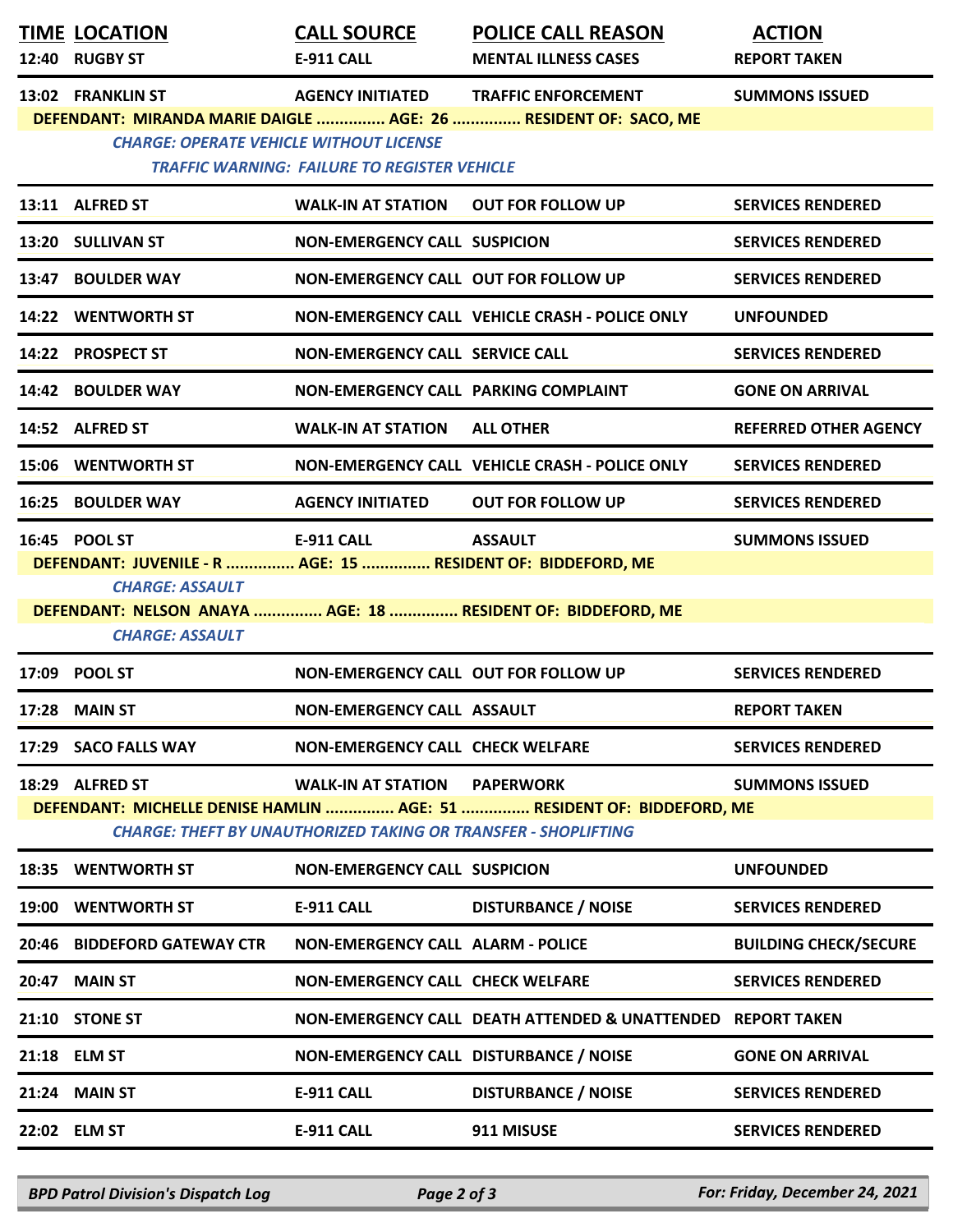|                                                                                                                   | <b>TIME LOCATION</b>                                                                   | <b>CALL SOURCE</b>                                                    | <b>POLICE CALL REASON</b>                                              | <b>ACTION</b>                |  |  |  |
|-------------------------------------------------------------------------------------------------------------------|----------------------------------------------------------------------------------------|-----------------------------------------------------------------------|------------------------------------------------------------------------|------------------------------|--|--|--|
|                                                                                                                   | 12:40 RUGBY ST                                                                         | <b>E-911 CALL</b>                                                     | <b>MENTAL ILLNESS CASES</b>                                            | <b>REPORT TAKEN</b>          |  |  |  |
|                                                                                                                   | 13:02 FRANKLIN ST                                                                      | <b>AGENCY INITIATED</b>                                               | <b>TRAFFIC ENFORCEMENT</b>                                             | <b>SUMMONS ISSUED</b>        |  |  |  |
| DEFENDANT: MIRANDA MARIE DAIGLE  AGE: 26  RESIDENT OF: SACO, ME<br><b>CHARGE: OPERATE VEHICLE WITHOUT LICENSE</b> |                                                                                        |                                                                       |                                                                        |                              |  |  |  |
|                                                                                                                   |                                                                                        | <b>TRAFFIC WARNING: FAILURE TO REGISTER VEHICLE</b>                   |                                                                        |                              |  |  |  |
|                                                                                                                   | 13:11 ALFRED ST                                                                        | WALK-IN AT STATION                                                    | <b>OUT FOR FOLLOW UP</b>                                               | <b>SERVICES RENDERED</b>     |  |  |  |
|                                                                                                                   | 13:20 SULLIVAN ST                                                                      | <b>NON-EMERGENCY CALL SUSPICION</b>                                   |                                                                        | <b>SERVICES RENDERED</b>     |  |  |  |
|                                                                                                                   | 13:47 BOULDER WAY                                                                      | NON-EMERGENCY CALL OUT FOR FOLLOW UP                                  |                                                                        | <b>SERVICES RENDERED</b>     |  |  |  |
|                                                                                                                   | 14:22 WENTWORTH ST                                                                     |                                                                       | NON-EMERGENCY CALL VEHICLE CRASH - POLICE ONLY                         | <b>UNFOUNDED</b>             |  |  |  |
|                                                                                                                   | 14:22 PROSPECT ST                                                                      | <b>NON-EMERGENCY CALL SERVICE CALL</b>                                |                                                                        | <b>SERVICES RENDERED</b>     |  |  |  |
|                                                                                                                   | 14:42 BOULDER WAY                                                                      | NON-EMERGENCY CALL PARKING COMPLAINT                                  |                                                                        | <b>GONE ON ARRIVAL</b>       |  |  |  |
|                                                                                                                   | 14:52 ALFRED ST                                                                        | <b>WALK-IN AT STATION</b>                                             | <b>ALL OTHER</b>                                                       | <b>REFERRED OTHER AGENCY</b> |  |  |  |
|                                                                                                                   | 15:06 WENTWORTH ST                                                                     |                                                                       | NON-EMERGENCY CALL VEHICLE CRASH - POLICE ONLY                         | <b>SERVICES RENDERED</b>     |  |  |  |
|                                                                                                                   | <b>16:25 BOULDER WAY</b>                                                               | <b>AGENCY INITIATED</b>                                               | <b>OUT FOR FOLLOW UP</b>                                               | <b>SERVICES RENDERED</b>     |  |  |  |
|                                                                                                                   | 16:45 POOL ST                                                                          | <b>E-911 CALL</b>                                                     | <b>ASSAULT</b>                                                         | <b>SUMMONS ISSUED</b>        |  |  |  |
|                                                                                                                   | DEFENDANT: JUVENILE - R  AGE: 15  RESIDENT OF: BIDDEFORD, ME<br><b>CHARGE: ASSAULT</b> |                                                                       |                                                                        |                              |  |  |  |
|                                                                                                                   |                                                                                        |                                                                       | DEFENDANT: NELSON ANAYA  AGE: 18  RESIDENT OF: BIDDEFORD, ME           |                              |  |  |  |
|                                                                                                                   | <b>CHARGE: ASSAULT</b>                                                                 |                                                                       |                                                                        |                              |  |  |  |
| 17:09                                                                                                             | <b>POOL ST</b>                                                                         | NON-EMERGENCY CALL OUT FOR FOLLOW UP                                  |                                                                        | <b>SERVICES RENDERED</b>     |  |  |  |
| 17:28                                                                                                             | <b>MAIN ST</b>                                                                         | NON-EMERGENCY CALL ASSAULT                                            |                                                                        | <b>REPORT TAKEN</b>          |  |  |  |
|                                                                                                                   | 17:29 SACO FALLS WAY                                                                   | <b>NON-EMERGENCY CALL CHECK WELFARE</b>                               |                                                                        | <b>SERVICES RENDERED</b>     |  |  |  |
|                                                                                                                   | 18:29 ALFRED ST                                                                        | <b>WALK-IN AT STATION</b>                                             | <b>PAPERWORK</b>                                                       | <b>SUMMONS ISSUED</b>        |  |  |  |
|                                                                                                                   |                                                                                        | <b>CHARGE: THEFT BY UNAUTHORIZED TAKING OR TRANSFER - SHOPLIFTING</b> | DEFENDANT: MICHELLE DENISE HAMLIN  AGE: 51  RESIDENT OF: BIDDEFORD, ME |                              |  |  |  |
|                                                                                                                   | 18:35 WENTWORTH ST                                                                     | <b>NON-EMERGENCY CALL SUSPICION</b>                                   |                                                                        | <b>UNFOUNDED</b>             |  |  |  |
| 19:00                                                                                                             | <b>WENTWORTH ST</b>                                                                    | <b>E-911 CALL</b>                                                     | <b>DISTURBANCE / NOISE</b>                                             | <b>SERVICES RENDERED</b>     |  |  |  |
| 20:46                                                                                                             | <b>BIDDEFORD GATEWAY CTR</b>                                                           | <b>NON-EMERGENCY CALL ALARM - POLICE</b>                              |                                                                        | <b>BUILDING CHECK/SECURE</b> |  |  |  |
| 20:47                                                                                                             | <b>MAIN ST</b>                                                                         | <b>NON-EMERGENCY CALL CHECK WELFARE</b>                               |                                                                        | <b>SERVICES RENDERED</b>     |  |  |  |
| 21:10                                                                                                             | <b>STONE ST</b>                                                                        |                                                                       | NON-EMERGENCY CALL DEATH ATTENDED & UNATTENDED REPORT TAKEN            |                              |  |  |  |
| 21:18                                                                                                             | <b>ELM ST</b>                                                                          | NON-EMERGENCY CALL DISTURBANCE / NOISE                                |                                                                        | <b>GONE ON ARRIVAL</b>       |  |  |  |
| 21:24                                                                                                             | <b>MAIN ST</b>                                                                         | E-911 CALL                                                            | <b>DISTURBANCE / NOISE</b>                                             | <b>SERVICES RENDERED</b>     |  |  |  |
|                                                                                                                   | 22:02 ELM ST                                                                           | <b>E-911 CALL</b>                                                     | 911 MISUSE                                                             | <b>SERVICES RENDERED</b>     |  |  |  |
|                                                                                                                   |                                                                                        |                                                                       |                                                                        |                              |  |  |  |

*BPD Patrol Division's Dispatch Log Page 2 of 3 For: Friday, December 24, 2021*